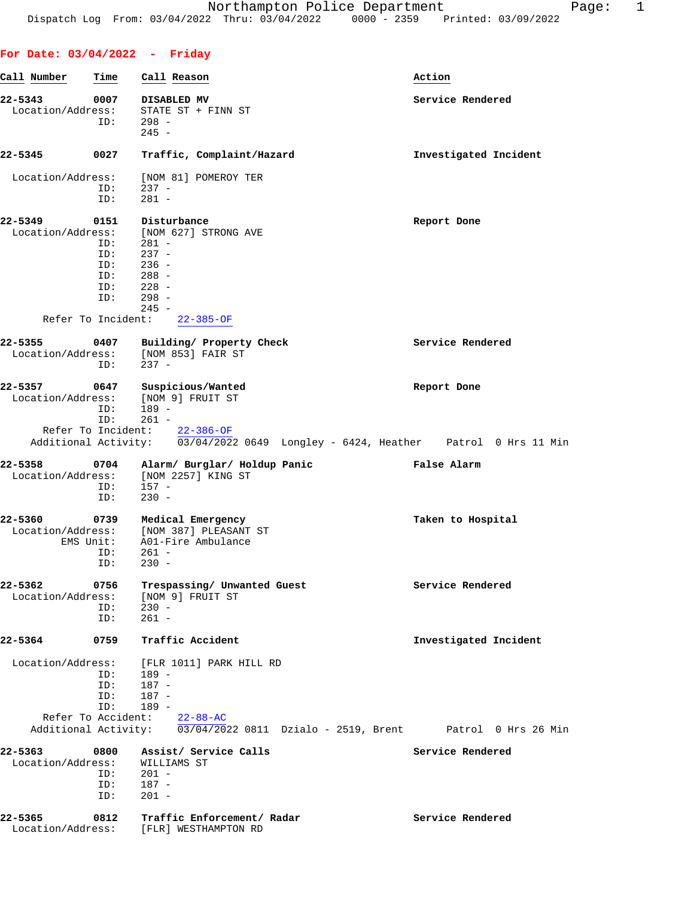|--|

| Call Number        | Time       | Call Reason                                                                                                   | Action                |
|--------------------|------------|---------------------------------------------------------------------------------------------------------------|-----------------------|
| 22-5343            | 0007       | DISABLED MV                                                                                                   | Service Rendered      |
| Location/Address:  |            | STATE ST + FINN ST                                                                                            |                       |
|                    | ID:        | $298 -$<br>$245 -$                                                                                            |                       |
| 22-5345            | 0027       | Traffic, Complaint/Hazard                                                                                     | Investigated Incident |
| Location/Address:  |            | [NOM 81] POMEROY TER                                                                                          |                       |
|                    | ID:        | $237 -$                                                                                                       |                       |
|                    | ID:        | $281 -$                                                                                                       |                       |
| 22-5349            | 0151       | Disturbance                                                                                                   | Report Done           |
| Location/Address:  |            | [NOM 627] STRONG AVE                                                                                          |                       |
|                    | ID:<br>ID: | $281 -$<br>$237 -$                                                                                            |                       |
|                    | ID:        | $236 -$                                                                                                       |                       |
|                    | ID:        | $288 -$                                                                                                       |                       |
|                    | ID:        | $228 -$                                                                                                       |                       |
|                    | ID:        | $298 -$                                                                                                       |                       |
| Refer To Incident: |            | $245 -$<br>$22 - 385 - OF$                                                                                    |                       |
|                    |            |                                                                                                               |                       |
| 22-5355            |            | 0407 Building/ Property Check                                                                                 | Service Rendered      |
| Location/Address:  |            | [NOM 853] FAIR ST                                                                                             |                       |
|                    | ID:        | $237 -$                                                                                                       |                       |
| 22-5357            | 0647       | Suspicious/Wanted                                                                                             | Report Done           |
| Location/Address:  |            | [NOM 9] FRUIT ST                                                                                              |                       |
|                    | ID:        | $189 -$                                                                                                       |                       |
|                    | ID:        | 261 -<br>Refer To Incident: 22-386-OF                                                                         |                       |
|                    |            | Additional Activity: 03/04/2022 0649 Longley - 6424, Heather Patrol 0 Hrs 11 Min                              |                       |
| 22-5358            |            | 0704 Alarm/ Burglar/ Holdup Panic                                                                             | False Alarm           |
| Location/Address:  |            | [NOM 2257] KING ST                                                                                            |                       |
|                    | ID:<br>ID: | $157 -$<br>$230 -$                                                                                            |                       |
|                    |            |                                                                                                               |                       |
| 22-5360            |            | 0739 Medical Emergency                                                                                        | Taken to Hospital     |
| Location/Address:  |            | [NOM 387] PLEASANT ST                                                                                         |                       |
| EMS Unit:          |            | A01-Fire Ambulance<br>$261 -$                                                                                 |                       |
|                    | ID:<br>ID: | $230 -$                                                                                                       |                       |
|                    |            |                                                                                                               |                       |
| 22-5362            | 0756       | Trespassing/ Unwanted Guest                                                                                   | Service Rendered      |
| Location/Address:  | ID:        | [NOM 9] FRUIT ST<br>$230 -$                                                                                   |                       |
|                    | ID:        | $261 -$                                                                                                       |                       |
| 22-5364            | 0759       | Traffic Accident                                                                                              | Investigated Incident |
| Location/Address:  |            |                                                                                                               |                       |
|                    | ID:        | [FLR 1011] PARK HILL RD<br>$189 -$                                                                            |                       |
|                    | ID:        | 187 -                                                                                                         |                       |
|                    | ID:        | $187 -$                                                                                                       |                       |
|                    | ID:        | $189 -$                                                                                                       |                       |
| Refer To Accident: |            | $22 - 88 - AC$<br>Additional Activity: $\overline{03/04/20}$ 22 0811 Dzialo - 2519, Brent Patrol 0 Hrs 26 Min |                       |
|                    |            |                                                                                                               |                       |
| 22-5363            | 0800       | Assist/ Service Calls                                                                                         | Service Rendered      |
| Location/Address:  |            | WILLIAMS ST                                                                                                   |                       |
|                    | ID:        | $201 -$                                                                                                       |                       |
|                    | ID:<br>ID: | $187 -$<br>$201 -$                                                                                            |                       |
|                    |            |                                                                                                               |                       |
| 22-5365            | 0812       | Traffic Enforcement/ Radar                                                                                    | Service Rendered      |
| Location/Address:  |            | [FLR] WESTHAMPTON RD                                                                                          |                       |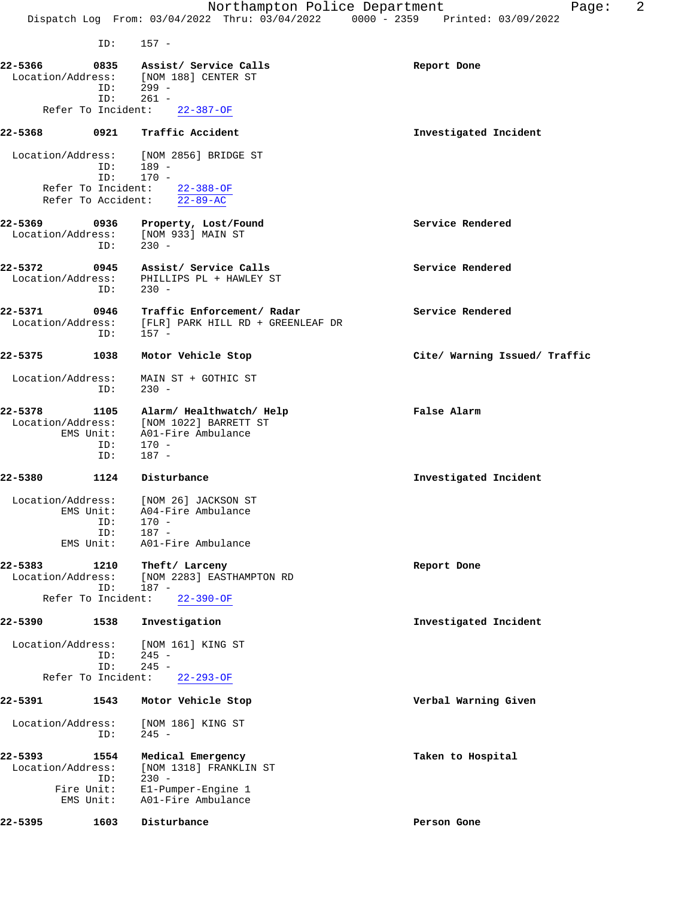| 157<br>-<br>$\sim$<br>____ | -- 12 |
|----------------------------|-------|
|----------------------------|-------|

| 22-5366                      |                           | 0835 Assist/ Service Calls<br>Location/Address: [NOM 188] CENTER ST<br>ID: 299 -                        | Report Done                   |
|------------------------------|---------------------------|---------------------------------------------------------------------------------------------------------|-------------------------------|
|                              | ID:<br>Refer To Incident: | $261 -$<br>$22 - 387 - OF$                                                                              |                               |
| $22 - 5368$                  | 0921                      | Traffic Accident                                                                                        | Investigated Incident         |
| Location/Address:            | ID:<br>ID:                | [NOM 2856] BRIDGE ST<br>$189 -$<br>170 -                                                                |                               |
|                              |                           | Refer To Incident: 22-388-OF<br>Refer To Accident: 22-89-AC                                             |                               |
| 22-5369<br>Location/Address: | 0936<br>ID:               | Property, Lost/Found<br>[NOM 933] MAIN ST<br>$230 -$                                                    | Service Rendered              |
| 22-5372<br>Location/Address: | 0945<br>ID:               | Assist/ Service Calls<br>PHILLIPS PL + HAWLEY ST<br>$230 -$                                             | Service Rendered              |
| 22-5371                      | 0946<br>ID:               | Traffic Enforcement/ Radar<br>Location/Address: [FLR] PARK HILL RD + GREENLEAF DR<br>$157 -$            | Service Rendered              |
| 22-5375                      | 1038                      | Motor Vehicle Stop                                                                                      | Cite/ Warning Issued/ Traffic |
| Location/Address:            | ID:                       | MAIN ST + GOTHIC ST<br>$230 -$                                                                          |                               |
| 22-5378<br>Location/Address: | 1105<br>ID:<br>ID:        | Alarm/ Healthwatch/ Help<br>[NOM 1022] BARRETT ST<br>EMS Unit: A01-Fire Ambulance<br>$170 -$<br>$187 -$ | False Alarm                   |
| 22-5380                      | 1124                      | Disturbance                                                                                             | Investigated Incident         |
| Location/Address:            | ID:<br>ID:<br>EMS Unit:   | [NOM 26] JACKSON ST<br>EMS Unit: A04-Fire Ambulance<br>$170 -$<br>$187 -$<br>A01-Fire Ambulance         |                               |
| 22-5383<br>Location/Address: | 1210<br>ID:               | Theft/ Larceny<br>[NOM 2283] EASTHAMPTON RD<br>$187 -$                                                  | Report Done                   |
|                              | Refer To Incident:        | $22 - 390 - OF$                                                                                         |                               |
| 22-5390                      | 1538                      | Investigation                                                                                           | Investigated Incident         |
| Location/Address:            | ID:<br>ID:                | [NOM 161] KING ST<br>$245 -$<br>$245 -$                                                                 |                               |
|                              | Refer To Incident:        | $22 - 293 - OF$                                                                                         |                               |
| 22-5391                      | 1543                      | Motor Vehicle Stop                                                                                      | Verbal Warning Given          |
| Location/Address:            | ID:                       | [NOM 186] KING ST<br>$245 -$                                                                            |                               |
| 22-5393<br>Location/Address: | 1554<br>ID:               | Medical Emergency<br>[NOM 1318] FRANKLIN ST<br>$230 -$                                                  | Taken to Hospital             |
|                              | Fire Unit:<br>EMS Unit:   | E1-Pumper-Engine 1<br>A01-Fire Ambulance                                                                |                               |
| 22-5395                      | 1603                      | Disturbance                                                                                             | Person Gone                   |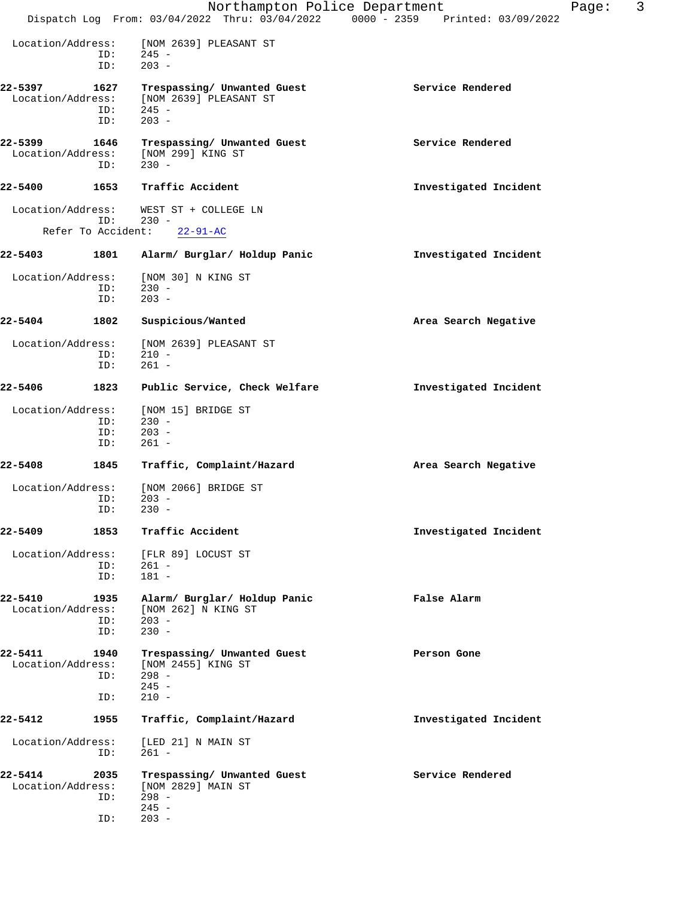|                                         |                    | Northampton Police Department<br>Dispatch Log From: 03/04/2022 Thru: 03/04/2022 0000 - 2359 Printed: 03/09/2022 |                       | Page: | 3 |
|-----------------------------------------|--------------------|-----------------------------------------------------------------------------------------------------------------|-----------------------|-------|---|
| Location/Address:                       | ID:<br>ID:         | [NOM 2639] PLEASANT ST<br>$245 -$<br>$203 -$                                                                    |                       |       |   |
| 22-5397<br>Location/Address:            | 1627<br>ID:<br>ID: | Trespassing/ Unwanted Guest<br>[NOM 2639] PLEASANT ST<br>$245 -$<br>$203 -$                                     | Service Rendered      |       |   |
| 22-5399<br>Location/Address:            | 1646<br>ID:        | Trespassing/ Unwanted Guest<br>[NOM 299] KING ST<br>$230 -$                                                     | Service Rendered      |       |   |
| 22-5400                                 | 1653               | Traffic Accident                                                                                                | Investigated Incident |       |   |
| Location/Address:<br>Refer To Accident: | ID:                | WEST ST + COLLEGE LN<br>$230 -$<br>$22 - 91 - AC$                                                               |                       |       |   |
| 22-5403                                 | 1801               | Alarm/ Burglar/ Holdup Panic                                                                                    | Investigated Incident |       |   |
| Location/Address:                       | ID:<br>ID:         | [NOM 30] N KING ST<br>$230 -$<br>$203 -$                                                                        |                       |       |   |
| 22-5404                                 | 1802               | Suspicious/Wanted                                                                                               | Area Search Negative  |       |   |
| Location/Address:                       | ID:<br>ID:         | [NOM 2639] PLEASANT ST<br>$210 -$<br>$261 -$                                                                    |                       |       |   |
| 22-5406                                 | 1823               | Public Service, Check Welfare                                                                                   | Investigated Incident |       |   |
| Location/Address:                       | ID:<br>ID:<br>ID:  | [NOM 15] BRIDGE ST<br>$230 -$<br>$203 -$<br>$261 -$                                                             |                       |       |   |
| 22-5408                                 | 1845               | Traffic, Complaint/Hazard                                                                                       | Area Search Negative  |       |   |
| Location/Address:                       | ID:<br>ID:         | [NOM 2066] BRIDGE ST<br>$203 -$<br>$230 -$                                                                      |                       |       |   |
| 22-5409                                 | 1853               | Traffic Accident                                                                                                | Investigated Incident |       |   |
| Location/Address:                       | ID:<br>ID:         | [FLR 89] LOCUST ST<br>261 -<br>$181 -$                                                                          |                       |       |   |
| 22-5410<br>Location/Address:            | 1935<br>ID:<br>ID: | Alarm/ Burglar/ Holdup Panic<br>[NOM 262] N KING ST<br>$203 -$<br>$230 -$                                       | False Alarm           |       |   |
| 22-5411<br>Location/Address:            | 1940<br>ID:<br>ID: | Trespassing/ Unwanted Guest<br>[NOM 2455] KING ST<br>$298 -$<br>$245 -$<br>$210 -$                              | Person Gone           |       |   |
| 22-5412                                 | 1955               | Traffic, Complaint/Hazard                                                                                       | Investigated Incident |       |   |
| Location/Address:                       | ID:                | [LED 21] N MAIN ST<br>$261 -$                                                                                   |                       |       |   |
| 22-5414<br>Location/Address:            | 2035<br>ID:<br>ID: | Trespassing/ Unwanted Guest<br>[NOM 2829] MAIN ST<br>$298 -$<br>$245 -$<br>$203 -$                              | Service Rendered      |       |   |
|                                         |                    |                                                                                                                 |                       |       |   |